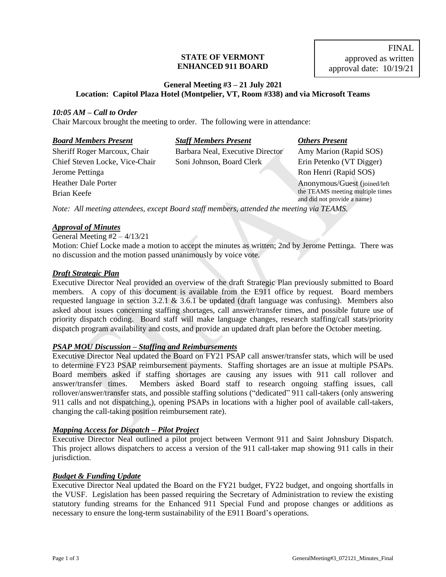#### **STATE OF VERMONT ENHANCED 911 BOARD**

# **General Meeting #3 – 21 July 2021 Location: Capitol Plaza Hotel (Montpelier, VT, Room #338) and via Microsoft Teams**

## *10:05 AM – Call to Order*

Chair Marcoux brought the meeting to order. The following were in attendance:

| <b>Board Members Present</b>   | <b>Staff Members Present</b>                                                             | <b>Others Present</b>                                           |
|--------------------------------|------------------------------------------------------------------------------------------|-----------------------------------------------------------------|
| Sheriff Roger Marcoux, Chair   | Barbara Neal, Executive Director                                                         | Amy Marion (Rapid SOS)                                          |
| Chief Steven Locke, Vice-Chair | Soni Johnson, Board Clerk                                                                | Erin Petenko (VT Digger)                                        |
| Jerome Pettinga                |                                                                                          | Ron Henri (Rapid SOS)                                           |
| <b>Heather Dale Porter</b>     |                                                                                          | Anonymous/Guest (joined/left                                    |
| Brian Keefe                    |                                                                                          | the TEAMS meeting multiple times<br>and did not provide a name) |
|                                | Note: All meeting attendees, except Board staff members, attended the meeting via TEAMS. |                                                                 |

# *Approval of Minutes*

General Meeting  $#2 - 4/13/21$ 

Motion: Chief Locke made a motion to accept the minutes as written; 2nd by Jerome Pettinga. There was no discussion and the motion passed unanimously by voice vote.

## *Draft Strategic Plan*

Executive Director Neal provided an overview of the draft Strategic Plan previously submitted to Board members. A copy of this document is available from the E911 office by request. Board members requested language in section 3.2.1 & 3.6.1 be updated (draft language was confusing). Members also asked about issues concerning staffing shortages, call answer/transfer times, and possible future use of priority dispatch coding. Board staff will make language changes, research staffing/call stats/priority dispatch program availability and costs, and provide an updated draft plan before the October meeting.

## *PSAP MOU Discussion – Staffing and Reimbursements*

Executive Director Neal updated the Board on FY21 PSAP call answer/transfer stats, which will be used to determine FY23 PSAP reimbursement payments. Staffing shortages are an issue at multiple PSAPs. Board members asked if staffing shortages are causing any issues with 911 call rollover and answer/transfer times. Members asked Board staff to research ongoing staffing issues, call rollover/answer/transfer stats, and possible staffing solutions ("dedicated" 911 call-takers (only answering 911 calls and not dispatching,), opening PSAPs in locations with a higher pool of available call-takers, changing the call-taking position reimbursement rate).

## *Mapping Access for Dispatch – Pilot Project*

Executive Director Neal outlined a pilot project between Vermont 911 and Saint Johnsbury Dispatch. This project allows dispatchers to access a version of the 911 call-taker map showing 911 calls in their jurisdiction.

## *Budget & Funding Update*

Executive Director Neal updated the Board on the FY21 budget, FY22 budget, and ongoing shortfalls in the VUSF. Legislation has been passed requiring the Secretary of Administration to review the existing statutory funding streams for the Enhanced 911 Special Fund and propose changes or additions as necessary to ensure the long-term sustainability of the E911 Board's operations.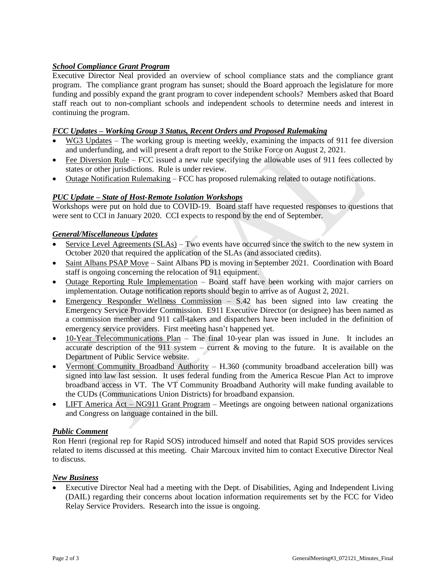# *School Compliance Grant Program*

Executive Director Neal provided an overview of school compliance stats and the compliance grant program. The compliance grant program has sunset; should the Board approach the legislature for more funding and possibly expand the grant program to cover independent schools? Members asked that Board staff reach out to non-compliant schools and independent schools to determine needs and interest in continuing the program.

# *FCC Updates – Working Group 3 Status, Recent Orders and Proposed Rulemaking*

- WG3 Updates The working group is meeting weekly, examining the impacts of 911 fee diversion and underfunding, and will present a draft report to the Strike Force on August 2, 2021.
- Fee Diversion Rule FCC issued a new rule specifying the allowable uses of 911 fees collected by states or other jurisdictions. Rule is under review.
- Outage Notification Rulemaking FCC has proposed rulemaking related to outage notifications.

# *PUC Update – State of Host-Remote Isolation Workshops*

Workshops were put on hold due to COVID-19. Board staff have requested responses to questions that were sent to CCI in January 2020. CCI expects to respond by the end of September.

# *General/Miscellaneous Updates*

- Service Level Agreements (SLAs) Two events have occurred since the switch to the new system in October 2020 that required the application of the SLAs (and associated credits).
- Saint Albans PSAP Move Saint Albans PD is moving in September 2021. Coordination with Board staff is ongoing concerning the relocation of 911 equipment.
- Outage Reporting Rule Implementation Board staff have been working with major carriers on implementation. Outage notification reports should begin to arrive as of August 2, 2021.
- Emergency Responder Wellness Commission S.42 has been signed into law creating the Emergency Service Provider Commission. E911 Executive Director (or designee) has been named as a commission member and 911 call-takers and dispatchers have been included in the definition of emergency service providers. First meeting hasn't happened yet.
- 10-Year Telecommunications Plan The final 10-year plan was issued in June. It includes an accurate description of the 911 system – current  $\&$  moving to the future. It is available on the Department of Public Service website.
- Vermont Community Broadband Authority H.360 (community broadband acceleration bill) was signed into law last session. It uses federal funding from the America Rescue Plan Act to improve broadband access in VT. The VT Community Broadband Authority will make funding available to the CUDs (Communications Union Districts) for broadband expansion.
- LIFT America Act NG911 Grant Program Meetings are ongoing between national organizations and Congress on language contained in the bill.

## *Public Comment*

Ron Henri (regional rep for Rapid SOS) introduced himself and noted that Rapid SOS provides services related to items discussed at this meeting. Chair Marcoux invited him to contact Executive Director Neal to discuss.

## *New Business*

• Executive Director Neal had a meeting with the Dept. of Disabilities, Aging and Independent Living (DAIL) regarding their concerns about location information requirements set by the FCC for Video Relay Service Providers. Research into the issue is ongoing.